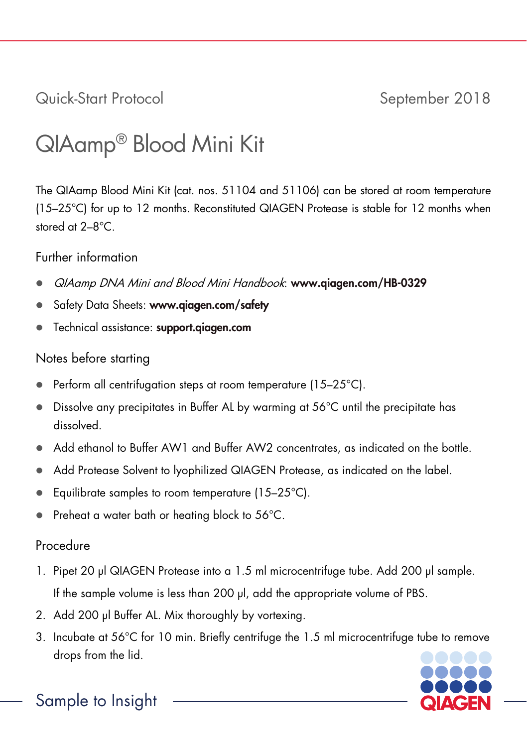Quick-Start Protocol September 2018

## QIAamp® Blood Mini Kit

The QIAamp Blood Mini Kit (cat. nos. 51104 and 51106) can be stored at room temperature (15–25°C) for up to 12 months. Reconstituted QIAGEN Protease is stable for 12 months when stored at 2–8°C.

Further information

- QIAamp DNA Mini and Blood Mini Handbook: [www.qiagen.com/HB-0329](https://www.qiagen.com/ph/resources/resourcedetail?id=62a200d6-faf4-469b-b50f-2b59cf738962&lang=en)
- Safety Data Sheets: www.qiagen.com/safety
- **•** Technical assistance: support.giagen.com

## Notes before starting

- Perform all centrifugation steps at room temperature (15–25°C).
- Dissolve any precipitates in Buffer AL by warming at 56°C until the precipitate has dissolved.
- Add ethanol to Buffer AW1 and Buffer AW2 concentrates, as indicated on the bottle.
- Add Protease Solvent to lyophilized QIAGEN Protease, as indicated on the label.
- Equilibrate samples to room temperature (15–25°C).
- Preheat a water bath or heating block to 56°C.

## Procedure

- 1. Pipet 20 µl QIAGEN Protease into a 1.5 ml microcentrifuge tube. Add 200 µl sample. If the sample volume is less than 200 µl, add the appropriate volume of PBS.
- 2. Add 200 µl Buffer AL. Mix thoroughly by vortexing.
- 3. Incubate at 56°C for 10 min. Briefly centrifuge the 1.5 ml microcentrifuge tube to remove drops from the lid.



Sample to Insight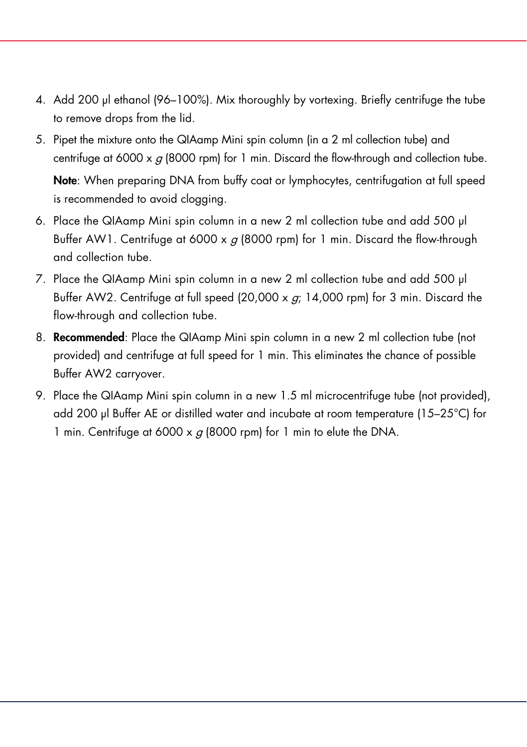- 4. Add 200 µl ethanol (96–100%). Mix thoroughly by vortexing. Briefly centrifuge the tube to remove drops from the lid.
- 5. Pipet the mixture onto the QIAamp Mini spin column (in a 2 ml collection tube) and centrifuge at 6000 x  $q$  (8000 rpm) for 1 min. Discard the flow-through and collection tube.

Note: When preparing DNA from buffy coat or lymphocytes, centrifugation at full speed is recommended to avoid clogging.

- 6. Place the QIAamp Mini spin column in a new 2 ml collection tube and add 500 µl Buffer AW1. Centrifuge at 6000 x  $g$  (8000 rpm) for 1 min. Discard the flow-through and collection tube.
- 7. Place the QIAamp Mini spin column in a new 2 ml collection tube and add 500 µl Buffer AW2. Centrifuge at full speed  $(20,000 \times q; 14,000 \text{ rpm})$  for 3 min. Discard the flow-through and collection tube.
- 8. Recommended: Place the QIAamp Mini spin column in a new 2 ml collection tube (not provided) and centrifuge at full speed for 1 min. This eliminates the chance of possible Buffer AW2 carryover.
- 9. Place the QIAamp Mini spin column in a new 1.5 ml microcentrifuge tube (not provided), add 200 µl Buffer AE or distilled water and incubate at room temperature (15–25°C) for 1 min. Centrifuge at 6000 x  $q$  (8000 rpm) for 1 min to elute the DNA.